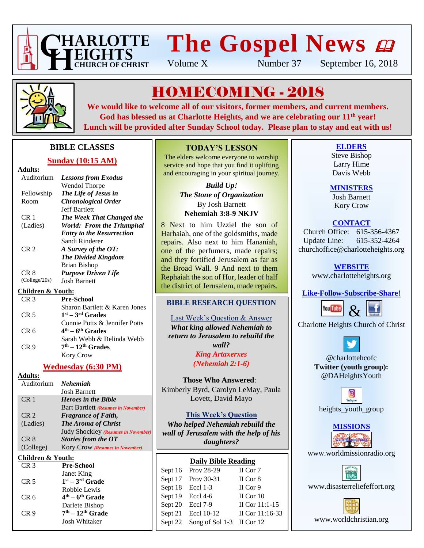

# **The Gospel News**

Volume X Number 37 September 16, 2018



# HOMECOMING - 2018

**We would like to welcome all of our visitors, former members, and current members. God has blessed us at Charlotte Heights, and we are celebrating our 11th year! Lunch will be provided after Sunday School today. Please plan to stay and eat with us!**

## **BIBLE CLASSES**

## **Sunday (10:15 AM)**

#### **Adults:**

| <b>Lessons from Exodus</b>       |
|----------------------------------|
| Wendol Thorpe                    |
| The Life of Jesus in             |
| <b>Chronological Order</b>       |
| <b>Jeff Bartlett</b>             |
| The Week That Changed the        |
| <b>World: From the Triumphal</b> |
| <b>Entry to the Resurrection</b> |
| Sandi Rinderer                   |
| A Survey of the OT:              |
| <b>The Divided Kingdom</b>       |
| Brian Bishop                     |
| <b>Purpose Driven Life</b>       |
| <b>Josh Barnett</b>              |
|                                  |

## **Children & Youth:**

| CR <sub>3</sub> | <b>Pre-School</b>             |
|-----------------|-------------------------------|
|                 | Sharon Bartlett & Karen Jones |
| CR <sub>5</sub> | $1st - 3rd$ Grades            |
|                 | Connie Potts & Jennifer Potts |
| CR <sub>6</sub> | $4th - 6th$ Grades            |
|                 | Sarah Webb & Belinda Webb     |
| CR <sub>9</sub> | $7th - 12th$ Grades           |
|                 | <b>Kory Crow</b>              |
|                 |                               |

## **Wednesday (6:30 PM)**

| <b>Nehemiah</b>                        |
|----------------------------------------|
| <b>Josh Barnett</b>                    |
| <b>Heroes in the Bible</b>             |
| Bart Bartlett (Resumes in November)    |
| <b>Fragrance of Faith,</b>             |
| <b>The Aroma of Christ</b>             |
| Judy Shockley (Resumes in November)    |
| Stories from the OT                    |
| <b>Kory Crow (Resumes in November)</b> |
| Children & Youth:                      |
| <b>Pre-School</b>                      |
|                                        |

| \JN J           | т те-эспол           |
|-----------------|----------------------|
|                 | Janet King           |
| CR 5            | $1st - 3rd$ Grade    |
|                 | Robbie Lewis         |
| CR 6            | $4th - 6th$ Grade    |
|                 | Darlete Bishop       |
| CR <sub>9</sub> | $7th - 12th$ Grade   |
|                 | <b>Josh Whitaker</b> |
|                 |                      |

## **TODAY'S LESSON**

The elders welcome everyone to worship service and hope that you find it uplifting and encouraging in your spiritual journey.

> *Build Up! The Stone of Organization* By Josh Barnett

## **Nehemiah 3:8-9 NKJV**

8 Next to him Uzziel the son of Harhaiah, one of the goldsmiths, made repairs. Also next to him Hananiah, one of the perfumers, made repairs; and they fortified Jerusalem as far as the Broad Wall. 9 And next to them Rephaiah the son of Hur, leader of half the district of Jerusalem, made repairs.

## **BIBLE RESEARCH QUESTION**

Last Week's Question & Answer *What king allowed Nehemiah to return to Jerusalem to rebuild the wall? King Artaxerxes*

*(Nehemiah 2:1-6)*

## **Those Who Answered**: Kimberly Byrd, Carolyn LeMay, Paula Lovett, David Mayo

## **This Week's Question**

*Who helped Nehemiah rebuild the wall of Jerusalem with the help of his daughters?*

## **Daily Bible Reading**

| Sept 16 Prov 28-29                | II Cor 7          |
|-----------------------------------|-------------------|
| Sept 17 Prov 30-31                | II Cor 8          |
| Sept $18$ Eccl $1-3$              | II Cor 9          |
| Sept 19 Eccl 4-6                  | II Cor $10$       |
| Sept 20 Eccl 7-9                  | II Cor $11:1-15$  |
| Sept 21 Eccl 10-12                | II Cor $11:16-33$ |
| Sept 22 Song of Sol 1-3 II Cor 12 |                   |
|                                   |                   |

## **ELDERS**

Steve Bishop Larry Hime Davis Webb

## **MINISTERS**

Josh Barnett Kory Crow

## **CONTACT**

Church Office: 615-356-4367 Update Line: 615-352-4264 churchoffice@charlotteheights.org

## **WEBSITE**

[www.charlotteheights.org](http://www.charlotteheights.org/)

## **Like-Follow-Subscribe-Share!**



Charlotte Heights Church of Christ



@charlottehcofc **Twitter (youth group):** @DAHeightsYouth



**MISSIONS**

www.worldmissionradio.org



[www.disasterreliefeffort.org](http://www.disasterreliefeffort.org/)

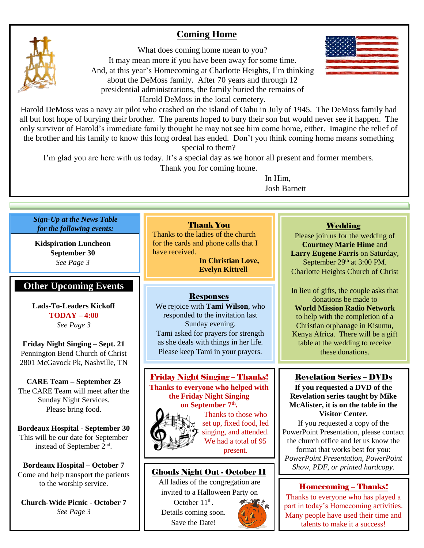## **Coming Home**





Harold DeMoss was a navy air pilot who crashed on the island of Oahu in July of 1945. The DeMoss family had all but lost hope of burying their brother. The parents hoped to bury their son but would never see it happen. The only survivor of Harold's immediate family thought he may not see him come home, either. Imagine the relief of the brother and his family to know this long ordeal has ended. Don't you think coming home means something special to them?

I'm glad you are here with us today. It's a special day as we honor all present and former members.

Thank you for coming home.

In Him, Josh Barnett

## *Sign-Up at the News Table for the following events:*

**Kidspiration Luncheon September 30** *See Page 3*

## **Other Upcoming Events**

**Lads-To-Leaders Kickoff TODAY – 4:00** *See Page 3*

**Friday Night Singing – Sept. 21** Pennington Bend Church of Christ 2801 McGavock Pk, Nashville, TN

**CARE Team – September 23** The CARE Team will meet after the Sunday Night Services. Please bring food.

**Bordeaux Hospital - September 30** This will be our date for September instead of September 2nd .

**Bordeaux Hospital – October 7** Come and help transport the patients to the worship service.

**Church-Wide Picnic - October 7** *See Page 3*

## Thank You

Thanks to the ladies of the church for the cards and phone calls that I have received.

**In Christian Love, Evelyn Kittrell**

## Responses

We rejoice with **Tami Wilson**, who responded to the invitation last Sunday evening. Tami asked for prayers for strength as she deals with things in her life. Please keep Tami in your prayers.

Friday Night Singing – Thanks! **Thanks to everyone who helped with the Friday Night Singing on September 7th .**



Thanks to those who set up, fixed food, led singing, and attended. We had a total of 95 present.

# **Ghouls Night Out - October 11** Show, PDF, or printed hardcopy.

All ladies of the congregation are invited to a Halloween Party on

October  $11<sup>th</sup>$ . Details coming soon. Save the Date!

## **Wedding**

Please join us for the wedding of **Courtney Marie Hime** and **Larry Eugene Farris** on Saturday, September 29<sup>th</sup> at 3:00 PM. Charlotte Heights Church of Christ

In lieu of gifts, the couple asks that donations be made to **World Mission Radio Network** to help with the completion of a Christian orphanage in Kisumu, Kenya Africa. There will be a gift table at the wedding to receive these donations.

## Revelation Series – DVDs

**If you requested a DVD of the Revelation series taught by Mike McAlister, it is on the table in the Visitor Center.**

If you requested a copy of the PowerPoint Presentation, please contact the church office and let us know the format that works best for you: *PowerPoint Presentation, PowerPoint* 

## Homecoming – Thanks!

Thanks to everyone who has played a part in today's Homecoming activities. Many people have used their time and talents to make it a success!

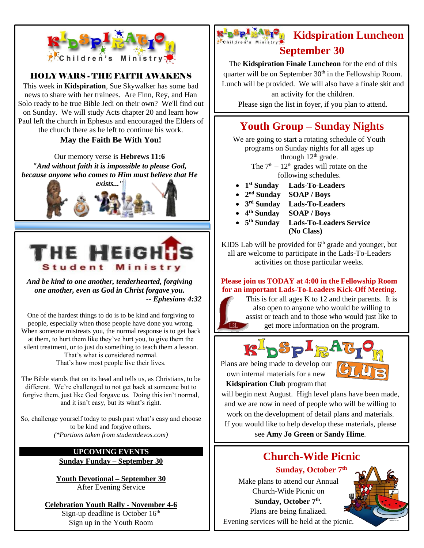

## HOLY WARS - THE FAITH AWAKENS

This week in **Kidspiration**, Sue Skywalker has some bad news to share with her trainees. Are Finn, Rey, and Han Solo ready to be true Bible Jedi on their own? We'll find out on Sunday. We will study Acts chapter 20 and learn how Paul left the church in Ephesus and encouraged the Elders of the church there as he left to continue his work.

## **May the Faith Be With You!**

Our memory verse is **Hebrews 11:6** *"And without faith it is impossible to please God, because anyone who comes to Him must believe that He* 





*And be kind to one another, tenderhearted, forgiving one another, even as God in Christ forgave you. -- Ephesians 4:32*

One of the hardest things to do is to be kind and forgiving to people, especially when those people have done you wrong. When someone mistreats you, the normal response is to get back at them, to hurt them like they've hurt you, to give them the silent treatment, or to just do something to teach them a lesson. That's what is considered normal. That's how most people live their lives.

The Bible stands that on its head and tells us, as Christians, to be different. We're challenged to not get back at someone but to forgive them, just like God forgave us. Doing this isn't normal, and it isn't easy, but its what's right.

So, challenge yourself today to push past what's easy and choose to be kind and forgive others. *(\*Portions taken from studentdevos.com)*

#### **UPCOMING EVENTS Sunday Funday – September 30**

**Youth Devotional – September 30** After Evening Service

## **Celebration Youth Rally - November 4-6**

Sign-up deadline is October  $16<sup>th</sup>$ Sign up in the Youth Room

# **Kidspiration Luncheon September 30**

The **Kidspiration Finale Luncheon** for the end of this quarter will be on September 30<sup>th</sup> in the Fellowship Room. Lunch will be provided. We will also have a finale skit and an activity for the children. Please sign the list in foyer, if you plan to attend.

# **Youth Group – Sunday Nights**

We are going to start a rotating schedule of Youth programs on Sunday nights for all ages up through  $12<sup>th</sup>$  grade. The  $7<sup>th</sup> - 12<sup>th</sup>$  grades will rotate on the

following schedules.

- **1 st Sunday Lads-To-Leaders**
- **2 nd Sunday SOAP / Boys**
- **3 rd Sunday Lads-To-Leaders**
- **4 th Sunday SOAP / Boys**
- **5 th Sunday Lads-To-Leaders Service**
	- **(No Class)**

KIDS Lab will be provided for  $6<sup>th</sup>$  grade and younger, but all are welcome to participate in the Lads-To-Leaders activities on those particular weeks.

## **Please join us TODAY at 4:00 in the Fellowship Room for an important Lads-To-Leaders Kick-Off Meeting.**

This is for all ages K to 12 and their parents. It is also open to anyone who would be willing to assist or teach and to those who would just like to get more information on the program.



Plans are being made to develop our own internal materials for a new

 $L2L$ 

**Kidspiration Club** program that

will begin next August. High level plans have been made, and we are now in need of people who will be willing to work on the development of detail plans and materials. If you would like to help develop these materials, please see **Amy Jo Green** or **Sandy Hime**.

# **Church-Wide Picnic**

**Sunday, October 7 th**

Make plans to attend our Annual Church-Wide Picnic on Sunday, October 7<sup>th</sup>. Plans are being finalized.



Evening services will be held at the picnic.